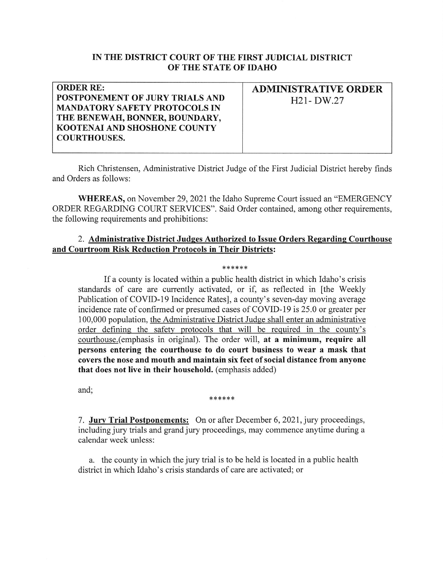## IN THE DISTRICT COURT OF THE FIRST JUDICIAL DISTRICT OF THE STATE OF IDAHO

| <b>ORDER RE:</b>                     | <b>ADMINISTRATIVE ORDER</b> |
|--------------------------------------|-----------------------------|
| POSTPONEMENT OF JURY TRIALS AND      | $H21-DW.27$                 |
| <b>MANDATORY SAFETY PROTOCOLS IN</b> |                             |
| THE BENEWAH, BONNER, BOUNDARY,       |                             |
| <b>KOOTENAI AND SHOSHONE COUNTY</b>  |                             |
| <b>COURTHOUSES.</b>                  |                             |
|                                      |                             |

Rich Christensen, Administrative District Judge of the First Judicial District hereby finds and Orders as follows:

WHEREAS, on November 29, 2021 the Idaho Supreme Court issued an "EMERGENCY" ORDER REGARDING COURT SERVICES". Said Order contained, among other requirements, the following requirements and prohibitions:

## 2. Administrative District Judges Authorized to Issue Orders Regarding Courthouse and Courtroom Risk Reduction Protocols in Their Districts:

## \*\*\*\*\*\*

If a county is located within a public health district in which Idaho's crisis standards of care are curently activated, or if, as reflected in [the Weekly Publication of COVID-19 Incidence Rates], a county's seven-day moving average incidence rate of confirmed or presumed cases of COVID-19 is 25.0 or greater per 100,000 population, the Administrative District Judge shall enter an administrative order defining the safety protocols that will be required in the county's courthouse.(emphasis in original). The order will, at a minimum, require all persons entering the courthouse to do court business to wear a mask that covers the nose and mouth and maintain six feet of social distance from anyone that does not live in their household. (emphasis added)

and;

## \*\*\*\*\*\*

7. Jury Trial Postponements: On or after December 6, 2021, jury proceedings, including jury trials and grand jury proceedings, may commence anytime during <sup>a</sup> calendar week unless:

a. the county in which the jury trial is to be held is located in a public health district in which Idaho's crisis standards of care are activated; or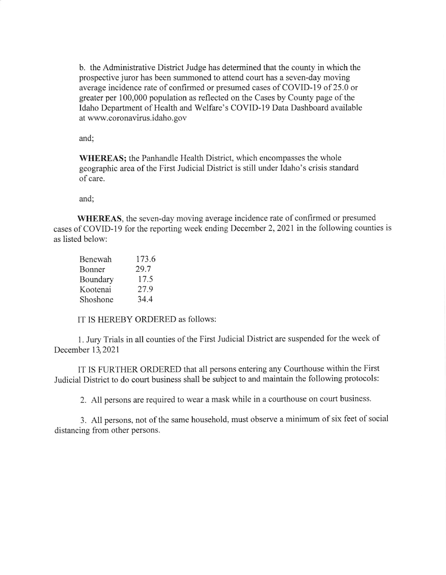b. the Administrative District Judge has determined that the county in which the prospective juror has been summoned to attend court has a seven-day moving average incidence rate of confirmed or presumed cases of COVID-I9 of 25.0 or greater per 100,000 population as reflected on the Cases by County page of the Idaho Department of Health and Welfare's COVID-19 Data Dashboard available at www.coronavirus.idaho. gov

and

WHEREAS; the Panhandle Health District, which encompasses the whole geographic area of the First Judicial District is still under Idaho's crisis standard of care.

and;

WHEREAS, the seven-day moving average incidence rate of confirmed or presumed cases of COVID-19 for the reporting week ending December 2,2021 in the following counties is as listed below:

| Benewah  | 173.6 |
|----------|-------|
| Bonner   | 29.7  |
| Boundary | 17.5  |
| Kootenai | 27.9  |
| Shoshone | 34.4  |

IT IS HEREBY ORDERED as follows:

1. Jury Trials in all counties of the First Judicial District are suspended for the week of December 13,2021

IT IS FURTHER ORDERED that all persons entering any Courthouse within the First Judicial District to do court business shall be subject to and maintain the following protocols:

2. All persons are required to wear a mask while in a courthouse on court business.

3. All persons, not of the same household, must observe a minimum of six feet of social distancing from other persons.